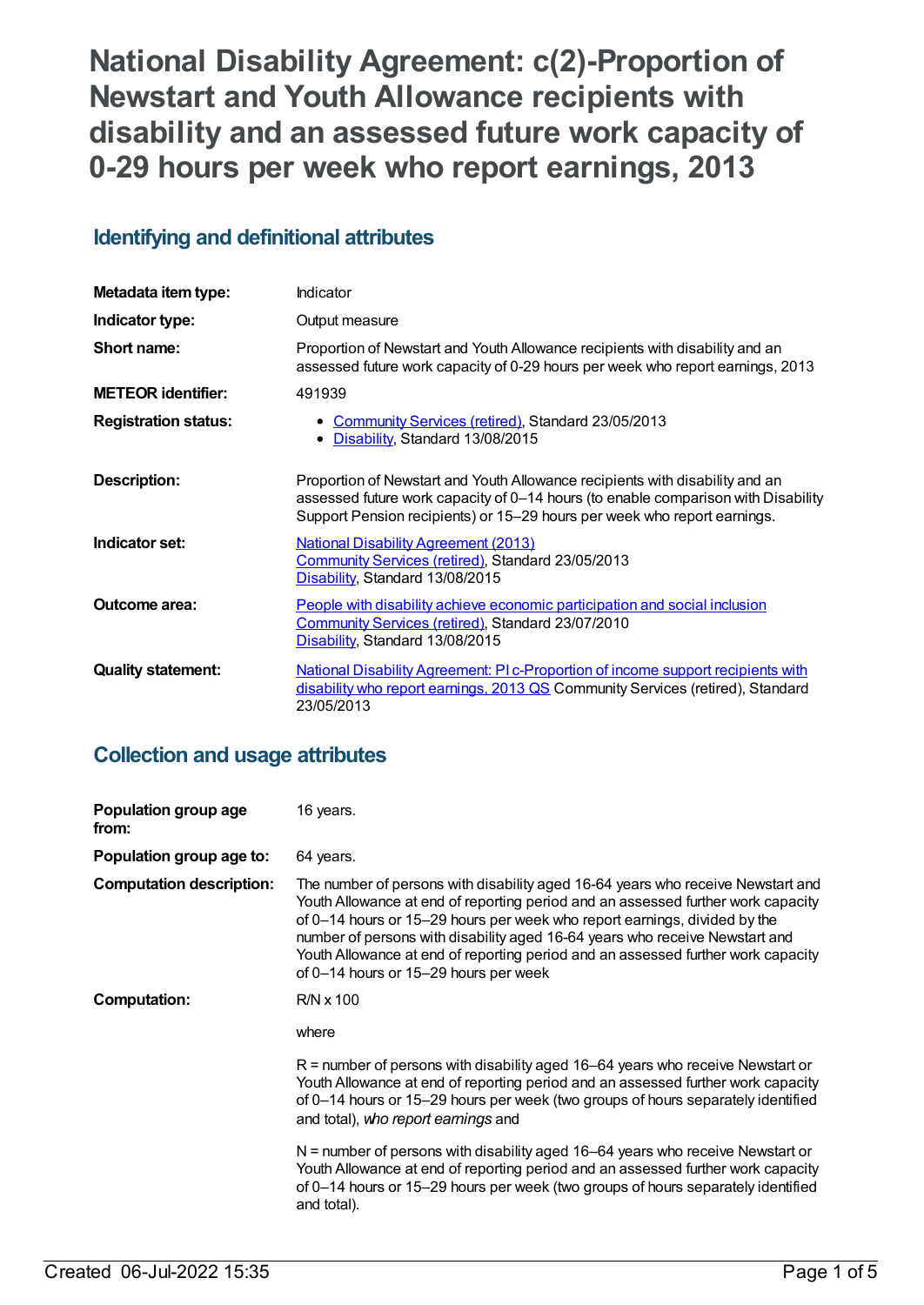# **National Disability Agreement: c(2)-Proportion of Newstart and Youth Allowance recipients with disability and an assessed future work capacity of 0-29 hours per week who report earnings, 2013**

# **Identifying and definitional attributes**

| Metadata item type:         | Indicator                                                                                                                                                                                                                                     |
|-----------------------------|-----------------------------------------------------------------------------------------------------------------------------------------------------------------------------------------------------------------------------------------------|
| Indicator type:             | Output measure                                                                                                                                                                                                                                |
| Short name:                 | Proportion of Newstart and Youth Allowance recipients with disability and an<br>assessed future work capacity of 0-29 hours per week who report earnings, 2013                                                                                |
| <b>METEOR identifier:</b>   | 491939                                                                                                                                                                                                                                        |
| <b>Registration status:</b> | <b>Community Services (retired), Standard 23/05/2013</b><br>Disability, Standard 13/08/2015                                                                                                                                                   |
| Description:                | Proportion of Newstart and Youth Allowance recipients with disability and an<br>assessed future work capacity of 0-14 hours (to enable comparison with Disability<br>Support Pension recipients) or 15–29 hours per week who report earnings. |
| Indicator set:              | <b>National Disability Agreement (2013)</b><br>Community Services (retired), Standard 23/05/2013<br>Disability, Standard 13/08/2015                                                                                                           |
| Outcome area:               | People with disability achieve economic participation and social inclusion<br>Community Services (retired), Standard 23/07/2010<br>Disability, Standard 13/08/2015                                                                            |
| <b>Quality statement:</b>   | National Disability Agreement: PI c-Proportion of income support recipients with<br>disability who report earnings, 2013 QS Community Services (retired), Standard<br>23/05/2013                                                              |

# **Collection and usage attributes**

| Population group age<br>from:   | 16 years.                                                                                                                                                                                                                                                                                                                                                                                                                                                    |
|---------------------------------|--------------------------------------------------------------------------------------------------------------------------------------------------------------------------------------------------------------------------------------------------------------------------------------------------------------------------------------------------------------------------------------------------------------------------------------------------------------|
| Population group age to:        | 64 years.                                                                                                                                                                                                                                                                                                                                                                                                                                                    |
| <b>Computation description:</b> | The number of persons with disability aged 16-64 years who receive Newstart and<br>Youth Allowance at end of reporting period and an assessed further work capacity<br>of 0–14 hours or 15–29 hours per week who report earnings, divided by the<br>number of persons with disability aged 16-64 years who receive Newstart and<br>Youth Allowance at end of reporting period and an assessed further work capacity<br>of 0-14 hours or 15-29 hours per week |
| <b>Computation:</b>             | $R/N \times 100$                                                                                                                                                                                                                                                                                                                                                                                                                                             |
|                                 | where                                                                                                                                                                                                                                                                                                                                                                                                                                                        |
|                                 | $R$ = number of persons with disability aged 16–64 years who receive Newstart or<br>Youth Allowance at end of reporting period and an assessed further work capacity<br>of 0-14 hours or 15-29 hours per week (two groups of hours separately identified<br>and total), who report earnings and                                                                                                                                                              |
|                                 | $N$ = number of persons with disability aged 16-64 years who receive Newstart or<br>Youth Allowance at end of reporting period and an assessed further work capacity<br>of 0-14 hours or 15-29 hours per week (two groups of hours separately identified<br>and total).                                                                                                                                                                                      |
|                                 |                                                                                                                                                                                                                                                                                                                                                                                                                                                              |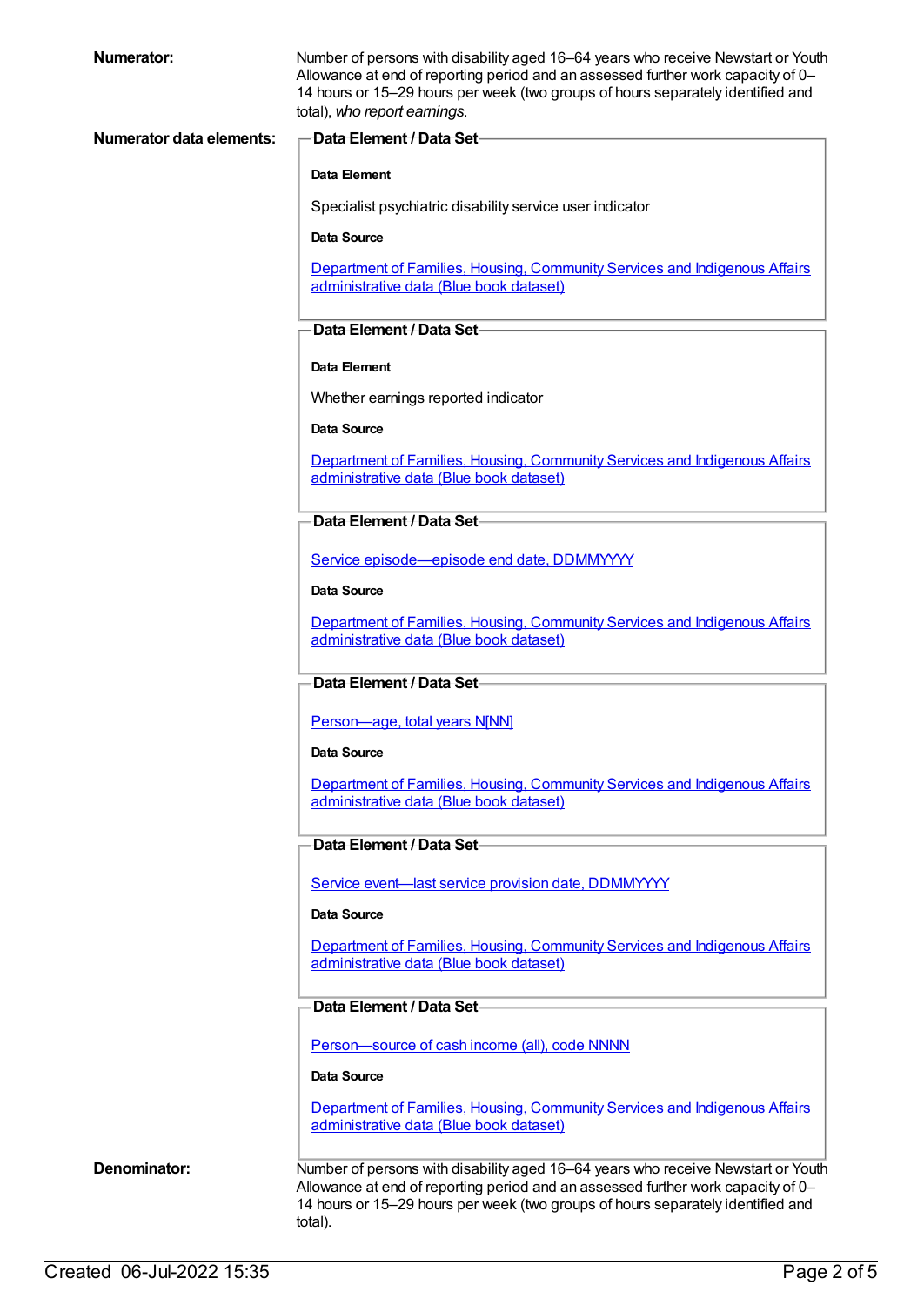| Numerator:                      | Number of persons with disability aged 16-64 years who receive Newstart or Youth<br>Allowance at end of reporting period and an assessed further work capacity of 0-<br>14 hours or 15-29 hours per week (two groups of hours separately identified and<br>total), who report earnings. |
|---------------------------------|-----------------------------------------------------------------------------------------------------------------------------------------------------------------------------------------------------------------------------------------------------------------------------------------|
| <b>Numerator data elements:</b> | <b>Data Element / Data Set-</b>                                                                                                                                                                                                                                                         |
|                                 | Data Element                                                                                                                                                                                                                                                                            |
|                                 | Specialist psychiatric disability service user indicator                                                                                                                                                                                                                                |
|                                 | Data Source                                                                                                                                                                                                                                                                             |
|                                 | Department of Families, Housing, Community Services and Indigenous Affairs                                                                                                                                                                                                              |
|                                 | administrative data (Blue book dataset)                                                                                                                                                                                                                                                 |
|                                 | Data Element / Data Set-                                                                                                                                                                                                                                                                |
|                                 | Data Element                                                                                                                                                                                                                                                                            |
|                                 | Whether earnings reported indicator                                                                                                                                                                                                                                                     |
|                                 | <b>Data Source</b>                                                                                                                                                                                                                                                                      |
|                                 | Department of Families, Housing, Community Services and Indigenous Affairs<br>administrative data (Blue book dataset)                                                                                                                                                                   |
|                                 | Data Element / Data Set-                                                                                                                                                                                                                                                                |
|                                 | Service episode-episode end date, DDMMYYYY                                                                                                                                                                                                                                              |
|                                 | Data Source                                                                                                                                                                                                                                                                             |
|                                 | Department of Families, Housing, Community Services and Indigenous Affairs<br>administrative data (Blue book dataset)                                                                                                                                                                   |
|                                 | Data Element / Data Set-                                                                                                                                                                                                                                                                |
|                                 | Person-age, total years N[NN]                                                                                                                                                                                                                                                           |
|                                 | <b>Data Source</b>                                                                                                                                                                                                                                                                      |
|                                 | Department of Families, Housing, Community Services and Indigenous Affairs<br>administrative data (Blue book dataset)                                                                                                                                                                   |
|                                 | Data Element / Data Set                                                                                                                                                                                                                                                                 |
|                                 | Service event-last service provision date, DDMMYYYY                                                                                                                                                                                                                                     |
|                                 | Data Source                                                                                                                                                                                                                                                                             |
|                                 | Department of Families, Housing, Community Services and Indigenous Affairs<br>administrative data (Blue book dataset)                                                                                                                                                                   |
|                                 | Data Element / Data Set                                                                                                                                                                                                                                                                 |
|                                 | Person-source of cash income (all), code NNNN                                                                                                                                                                                                                                           |
|                                 | Data Source                                                                                                                                                                                                                                                                             |
|                                 | Department of Families, Housing, Community Services and Indigenous Affairs<br>administrative data (Blue book dataset)                                                                                                                                                                   |
| Denominator:                    | Number of persons with disability aged 16-64 years who receive Newstart or Youth<br>Allowance at end of reporting period and an assessed further work capacity of 0-<br>14 hours or 15-29 hours per week (two groups of hours separately identified and<br>total).                      |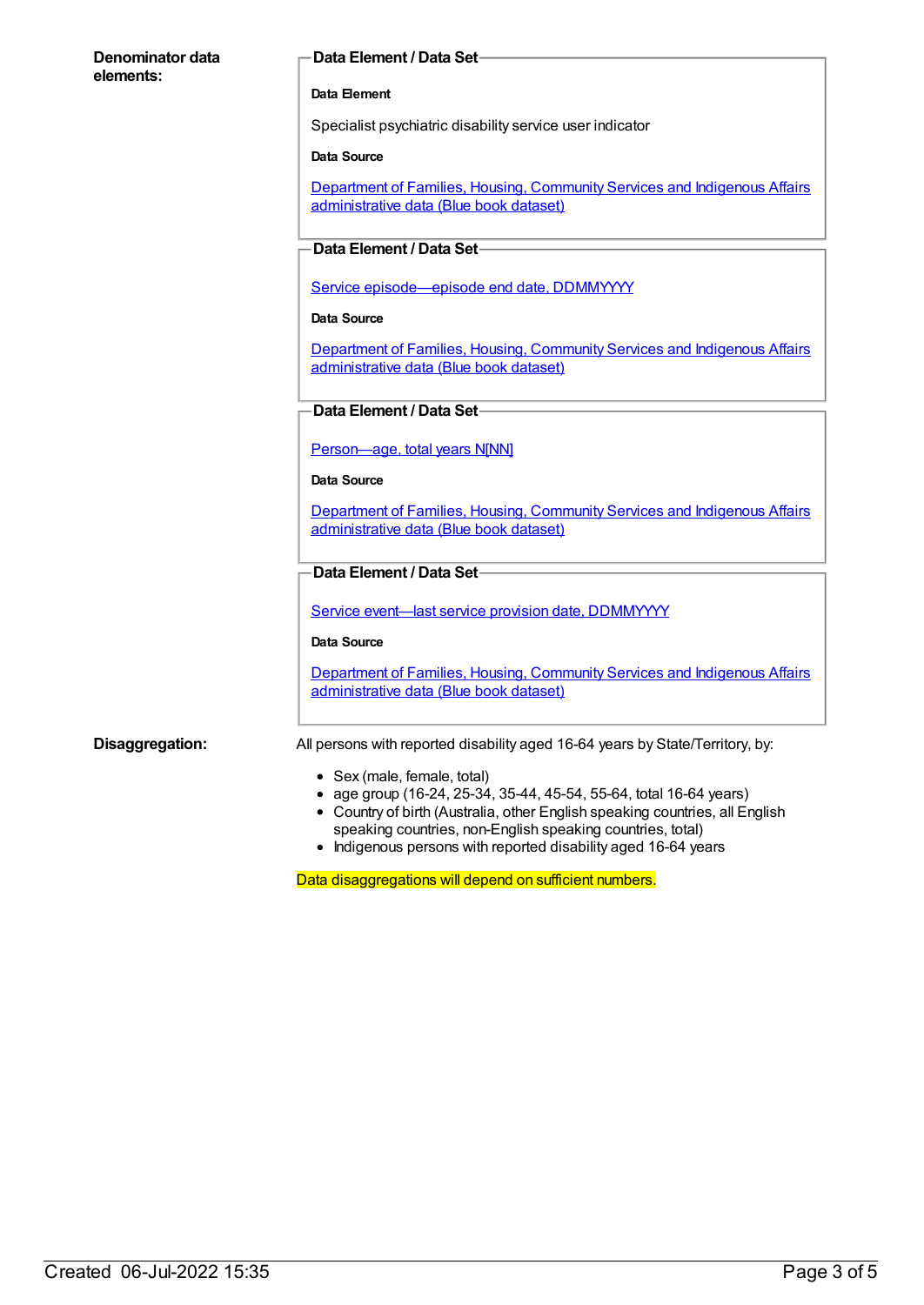#### **Denominator data elements:**

#### **Data Element / Data Set**

#### **Data Element**

Specialist psychiatric disability service user indicator

#### **Data Source**

Department of Families, Housing, Community Services and Indigenous Affairs [administrative](https://meteor.aihw.gov.au/content/557660) data (Blue book dataset)

#### **Data Element / Data Set**

Service [episode—episode](https://meteor.aihw.gov.au/content/270160) end date, DDMMYYYY

#### **Data Source**

Department of Families, Housing, Community Services and Indigenous Affairs [administrative](https://meteor.aihw.gov.au/content/557660) data (Blue book dataset)

#### **Data Element / Data Set**

[Person—age,](https://meteor.aihw.gov.au/content/303794) total years N[NN]

#### **Data Source**

Department of Families, Housing, Community Services and Indigenous Affairs [administrative](https://meteor.aihw.gov.au/content/557660) data (Blue book dataset)

#### **Data Element / Data Set**

Service event-last service provision date, [DDMMYYYY](https://meteor.aihw.gov.au/content/323253)

#### **Data Source**

[Department](https://meteor.aihw.gov.au/content/557660) of Families, Housing, Community Services and Indigenous Affairs administrative data (Blue book dataset)

**Disaggregation:** All persons with reported disability aged 16-64 years by State/Territory, by:

- Sex (male, female, total)
- age group (16-24, 25-34, 35-44, 45-54, 55-64, total 16-64 years)
- Country of birth (Australia, other English speaking countries, all English speaking countries, non-English speaking countries, total)
- Indigenous persons with reported disability aged 16-64 years

Data disaggregations will depend on sufficient numbers.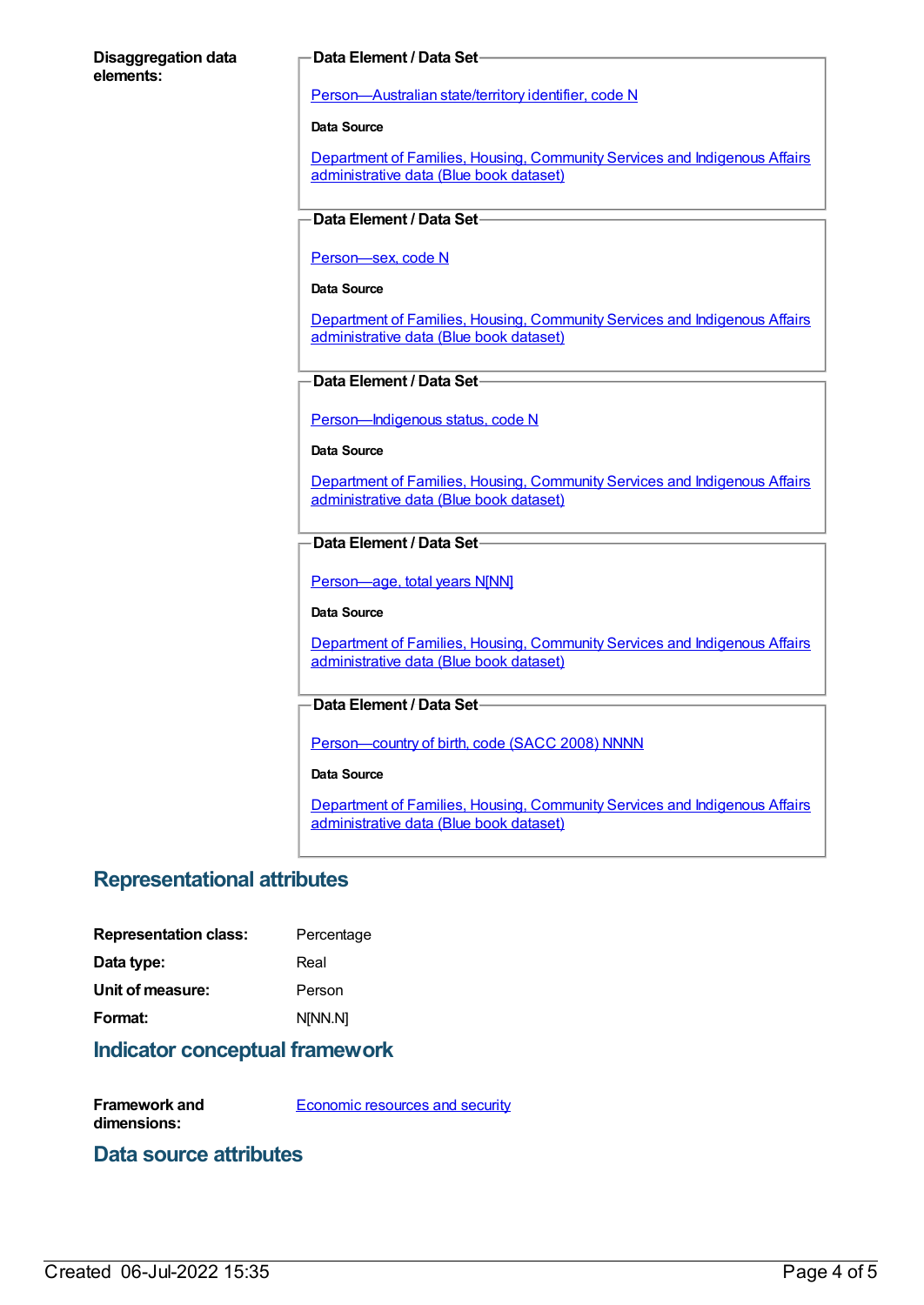#### **Disaggregation data elements:**

#### **Data Element / Data Set**

[Person—Australian](https://meteor.aihw.gov.au/content/286919) state/territory identifier, code N

**Data Source**

Department of Families, Housing, Community Services and Indigenous Affairs [administrative](https://meteor.aihw.gov.au/content/557660) data (Blue book dataset)

### **Data Element / Data Set**

[Person—sex,](https://meteor.aihw.gov.au/content/287316) code N

#### **Data Source**

Department of Families, Housing, Community Services and Indigenous Affairs [administrative](https://meteor.aihw.gov.au/content/557660) data (Blue book dataset)

### **Data Element / Data Set**

[Person—Indigenous](https://meteor.aihw.gov.au/content/291036) status, code N

#### **Data Source**

[Department](https://meteor.aihw.gov.au/content/557660) of Families, Housing, Community Services and Indigenous Affairs administrative data (Blue book dataset)

#### **Data Element / Data Set**

[Person—age,](https://meteor.aihw.gov.au/content/303794) total years N[NN]

#### **Data Source**

Department of Families, Housing, Community Services and Indigenous Affairs [administrative](https://meteor.aihw.gov.au/content/557660) data (Blue book dataset)

#### **Data Element / Data Set**

[Person—country](https://meteor.aihw.gov.au/content/370943) of birth, code (SACC 2008) NNNN

#### **Data Source**

Department of Families, Housing, Community Services and Indigenous Affairs [administrative](https://meteor.aihw.gov.au/content/557660) data (Blue book dataset)

# **Representational attributes**

| Percentage |
|------------|
| Real       |
| Person     |
| N[NN.N]    |
|            |

## **Indicator conceptual framework**

**Framework and dimensions:** [Economic](https://meteor.aihw.gov.au/content/392708) resources and security

# **Data source attributes**